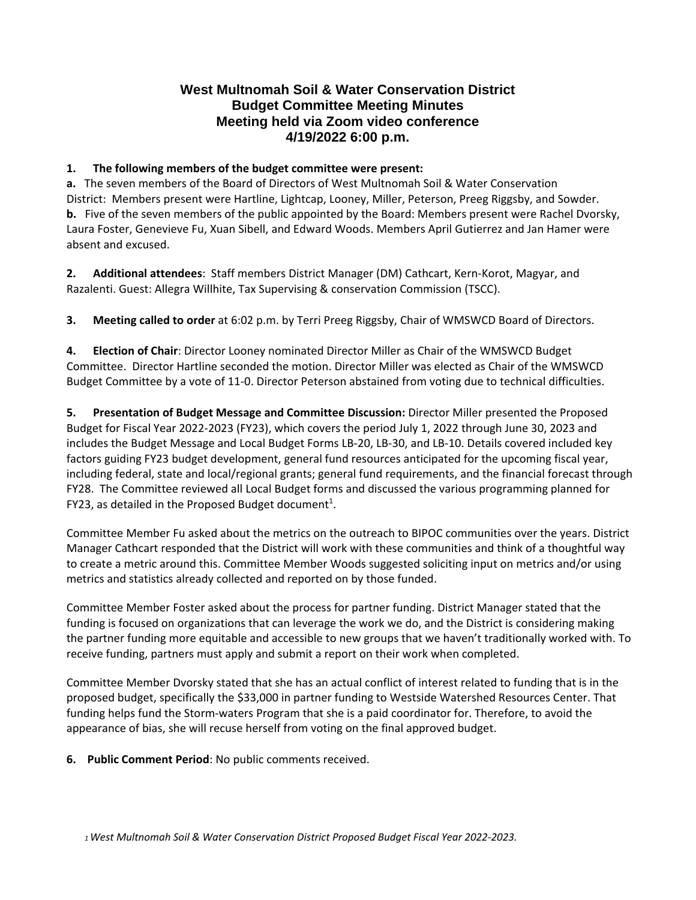## **West Multnomah Soil & Water Conservation District Budget Committee Meeting Minutes Meeting held via Zoom video conference 4/19/2022 6:00 p.m.**

## **1. The following members of the budget committee were present:**

**a.** The seven members of the Board of Directors of West Multnomah Soil & Water Conservation District: Members present were Hartline, Lightcap, Looney, Miller, Peterson, Preeg Riggsby, and Sowder. **b.** Five of the seven members of the public appointed by the Board: Members present were Rachel Dvorsky, Laura Foster, Genevieve Fu, Xuan Sibell, and Edward Woods. Members April Gutierrez and Jan Hamer were absent and excused.

**2. Additional attendees**: Staff members District Manager (DM) Cathcart, Kern-Korot, Magyar, and Razalenti. Guest: Allegra Willhite, Tax Supervising & conservation Commission (TSCC).

**3. Meeting called to order** at 6:02 p.m. by Terri Preeg Riggsby, Chair of WMSWCD Board of Directors.

**4. Election of Chair**: Director Looney nominated Director Miller as Chair of the WMSWCD Budget Committee. Director Hartline seconded the motion. Director Miller was elected as Chair of the WMSWCD Budget Committee by a vote of 11-0. Director Peterson abstained from voting due to technical difficulties.

**5. Presentation of Budget Message and Committee Discussion:** Director Miller presented the Proposed Budget for Fiscal Year 2022-2023 (FY23), which covers the period July 1, 2022 through June 30, 2023 and includes the Budget Message and Local Budget Forms LB-20, LB-30, and LB-10. Details covered included key factors guiding FY23 budget development, general fund resources anticipated for the upcoming fiscal year, including federal, state and local/regional grants; general fund requirements, and the financial forecast through FY28. The Committee reviewed all Local Budget forms and discussed the various programming planned for FY23, as detailed in the Proposed Budget document<sup>1</sup>.

Committee Member Fu asked about the metrics on the outreach to BIPOC communities over the years. District Manager Cathcart responded that the District will work with these communities and think of a thoughtful way to create a metric around this. Committee Member Woods suggested soliciting input on metrics and/or using metrics and statistics already collected and reported on by those funded.

Committee Member Foster asked about the process for partner funding. District Manager stated that the funding is focused on organizations that can leverage the work we do, and the District is considering making the partner funding more equitable and accessible to new groups that we haven't traditionally worked with. To receive funding, partners must apply and submit a report on their work when completed.

Committee Member Dvorsky stated that she has an actual conflict of interest related to funding that is in the proposed budget, specifically the \$33,000 in partner funding to Westside Watershed Resources Center. That funding helps fund the Storm-waters Program that she is a paid coordinator for. Therefore, to avoid the appearance of bias, she will recuse herself from voting on the final approved budget.

**6. Public Comment Period**: No public comments received.